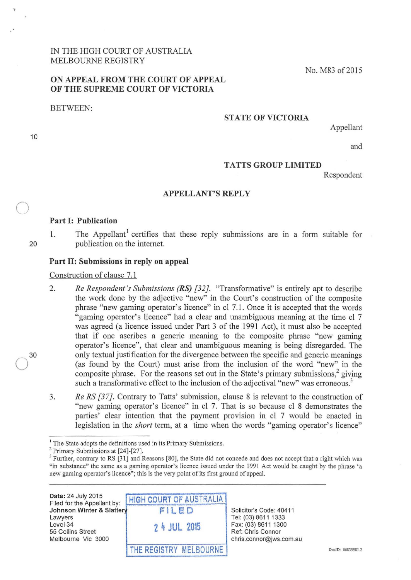IN THE HIGH COURT OF AUSTRALIA MELBOURNE REGISTRY

# ON APPEAL FROM THE COURT OF APPEAL OF THE SUPREME COURT OF VICTORIA

BETWEEN:

10

 $\bigcirc$ 

20

30

## STATE OF VICTORIA

Appellant

No. M83 of2015

and

### TATTS GROUP LIMITED

Respondent

#### APPELLANT'S REPLY

## Part 1: Publication

1. The Appellant<sup>1</sup> certifies that these reply submissions are in a form suitable for publication on the internet.

## Part II: Submissions in reply on appeal

Construction of clause 7.1

2. *Re Respondent's Submissions (RS) [32].* "Transformative" is entirely apt to describe the work done by the adjective "new" in the Court's construction of the composite phrase "new gaming operator's licence" in cl 7 .1. Once it is accepted that the words "gaming operator's licence" had a clear and unambiguous meaning at the time cl 7 was agreed (a licence issued under Part 3 of the 1991 Act), it must also be accepted that if one ascribes a generic meaning to the composite phrase "new gaming operator's licence", that clear and unambiguous meaning is being disregarded. The only textual justification for the divergence between the specific and generic meanings (as found by the Court) must arise from the inclusion of the word "new" in the composite phrase. For the reasons set out in the State's primary submissions.<sup>2</sup> giving such a transformative effect to the inclusion of the adjectival "new" was erroneous.<sup>3</sup>

3. *Re RS [37]*. Contrary to Tatts' submission, clause 8 is relevant to the construction of "new gaming operator's licence" in cl 7. That is so because cl 8 demonstrates the parties' clear intention that the payment provision in cl 7 would be enacted in legislation in the *short* term, at a time when the words "gaming operator's licence"

Date: 24 July 2015 Filed for the Appellant by: Johnson Winter & Slattery Lawyers Level34 55 Collins Street Melbourne Vic 3000



Solicitor's Code: 40411 Tel: (03) 8611 1333 Fax: (03) 8611 1300 Ref: Chris Connor chris.connor@jws.com.au

<sup>&</sup>lt;sup>1</sup> The State adopts the definitions used in its Primary Submissions.<br><sup>2</sup> Primary Submissions at [24]-[27].<br><sup>3</sup> Further, contrary to RS [31] and Reasons [80], the State did not concede and does not accept that a right whi "in substance" the same as a gaming operator's licence issued under the 1991 Act would be caught by the phrase 'a new gaming operator's licence"; this is the very point of its first ground of appeal.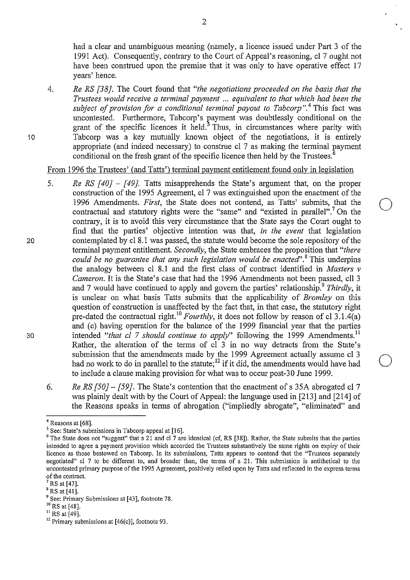had a clear and unambiguous meaning (namely, a licence issued under Part 3 of the 1991 Act). Consequently, contraty to the Court of Appeal's reasoning, cl 7 ought not have been construed upon the premise that it was only to have operative effect 17 years' hence.

4. *Re RS [38].* The Court found that *"the negotiations proceeded on the basis that the Trustees would receive a terminal payment* ... *equivalent to that which had been the subject of provision for a conditional terminal payout to Tabcorp*".<sup>4</sup> This fact was uncontested. Furthermore, Tabcorp's payment was doubtlessly conditional on the grant of the specific licences it held.<sup>3</sup> Thus, in circumstances where parity with Tabcorp was a key mutually known object of the negotiations, it is entirely appropriate (and indeed necessary) to construe cl 7 as making the terminal payment conditional on the fresh grant of the specific licence then held by the Trustees.<sup>6</sup>

From 1996 the Trustees' (and Tatts') terminal payment entitlement found only in legislation

- 5. *Re RS [40} [49}.* Tatts misapprehends the State's argument that, on the proper construction of the 1995 Agreement, cl 7 was extinguished upon the enactment of the 1996 Amendments. *First*, the State does not contend, as Tatts' submits, that the contractual and statutory rights were the "same" and "existed in parallel".<sup>7</sup> On the contraty, it is to avoid this very circumstance that the State says the Court ought to find that the parties' objective intention was that, *in the event* that legislation 20 contemplated by cl 8.1 was passed, the statute would become the sole repository of the terminal payment entitlement. *Secondly,* the State embraces the proposition that *"there could be no guarantee that any such legislation would be enacted'.<sup>8</sup>*This underpins the analogy between cl 8.1 and the first class of contract identified in *Masters v Cameron.* It is the State's case that had the 1996 Amendments not been passed, ell 3 and 7 would have continued to apply and govern the parties' relationship.<sup>9</sup> *Thirdly*, it is unclear on what basis Tatts submits that the applicability of *Bromley* on this question of construction is unaffected by the fact that, in that case, the statutory right pre-dated the contractual right.<sup>10</sup> *Fourthly*, it does not follow by reason of cl 3.1.4(a) and (c) having operation for the balance of the 1999 financial year that the parties 30 intended "that cl 7 should continue to apply" following the 1999 Amendments.<sup>11</sup> Rather, the alteration of the terms of cl 3 in no way detracts from the State's submission that the amendments made by the 1999 Agreement actually assume cl 3 had no work to do in parallel to the statute;<sup>12</sup> if it did, the amendments would have had to include a clause making provision for what was to occur post-30 June 1999.
	- 6. *Re RS [50}- [59].* The State's contention that the enactment of s 35A abrogated cl 7 was plainly dealt with by the Court of Appeal: the language used in [213] and [214] of the Reasons speaks in terms of abrogation ("impliedly abrogate", "eliminated" and

10

<sup>&</sup>lt;sup>4</sup> Reasons at [68].<br><sup>5</sup> See: State's submissions in Tabcorp appeal at [16].

<sup>&</sup>lt;sup>6</sup> The State does not "suggest" that s 21 and cl 7 are identical (cf, RS [38]). Rather, the State submits that the parties **intended to agree a payment provision which accorded the Trustees substantively the same rights on expiry of their licence as those bestowed on Tabcorp. In its submissions, Tatts appears to contend that the "Trustees separately negotiated" cl 7 to be different to, and broader than, the terms of s 21. This submission is antithetical to the**  uncontested primary purpose of the 1995 Agreement, positively relied upon by Tatts and reflected in the express terms of the contract.<br>
<sup>7</sup> RS at [47].<br>
<sup>8</sup> RS at [41].<br>
<sup>9</sup> See: Primary Submissions at [43], footnote 78.<br>
<sup>10</sup> RS at [48].<br>
<sup>11</sup> RS at [49].<br>
<sup>12</sup> Primary submissions at [46(c)], footnote 93.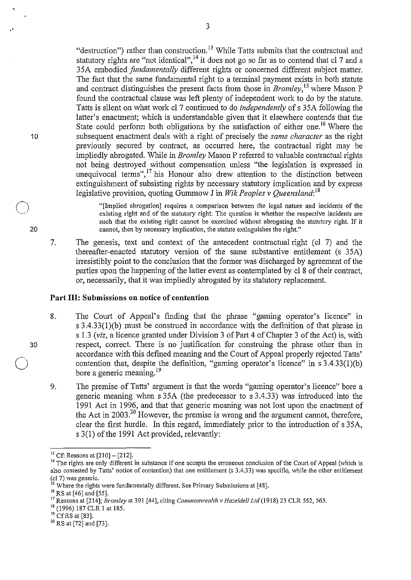"destruction") rather than construction.<sup>13</sup> While Tatts submits that the contractual and statutory rights are "not identical",<sup>14</sup> it does not go so far as to contend that cl 7 and s 35A embodied *fundamentally* different rights or concerned different subject matter. The fact that the same fundamental right to a terminal payment exists in both statute and contract distinguishes the present facts from those in *Bromley,* 15 where Mason P found the contractual clause was left plenty of independent work to do by the statute. Tatts is silent on what work cl 7 continued to do *independently* of s 35A following the latter's enactment; which is understandable given that it elsewhere contends that the State could perform both obligations by the satisfaction of either one.<sup>16</sup> Where the subsequent enactment deals with a right of precisely the *same character* as the right previously secured by contract, as occurred here, the contractual right may be impliedly abrogated. While in *Bromley* Mason P referred to valuable contractual rights not being destroyed without compensation unless "the legislation is expressed in unequivocal terms",<sup>17</sup> his Honour also drew attention to the distinction between extinguishment of subsisting rights by necessary statutory implication and by express legislative provision, quoting Gummow J in *Wik Peoples v Queensland: <sup>18</sup>*

"[Implied abrogation] requires a comparison between the legal nature and incidents of the existing right and of the statutory right. The question is whether the respective incidents are such that the existing right cannot be exercised without abrogating the statutory right. If it cannot, then by necessary implication, the statute extinguishes the right."

7. The genesis, text and context of the antecedent contractual right (cl 7) and the thereafter-enacted statutory version of the same substantive entitlement (s 35A) irresistibly point to the conclusion that the former was discharged by agreement of the parties upon the happening of the latter event as contemplated by cl 8 of their contract, or, necessarily, that it was impliedly abrogated by its statutory replacement.

## **Part Ill: Submissions on notice of contention**

- 8. The Court of Appeal's finding that the phrase "gaming operator's licence" in s 3.4.33(1)(b) must be construed in accordance with the definition of that phrase in s 1.3 *(viz,* a licence granted under Division 3 of Part 4 of Chapter 3 of the Act) is, with respect, correct. There is no justification for construing the phrase other than in accordance with this defined meaning and the Court of Appeal properly rejected Tatts' contention that, despite the definition, "gaming operator's licence" in s 3.4.33(1)(b) bore a generic meaning.<sup>19</sup>
- 9. The premise of Tatts' argument is that the words "gaming operator's licence" bore a generic meaning when s 35A (the predecessor to s 3.4.33) was introduced into the 1991 Act in 1996, and that that generic meaning was not lost upon the enactment of the Act in  $2003$ <sup>20</sup> However, the premise is wrong and the argument cannot, therefore, clear the first hurdle. In this regard, immediately prior to the introduction of s 35A, s 3(1) of the 1991 Act provided, relevantly:

- 
- 

30

 $\bigcirc$ 

10

 $\bigcirc$ 

20

<sup>&</sup>lt;sup>13</sup> Cf: Reasons at [210] – [212].<br><sup>14</sup> The rights are only different in substance if one accepts the erroneous conclusion of the Court of Appeal (which is also contested by Tatts' notice of contention) that one entitlement (s 3.4.33) was specific, while the other entitlement (cl 7) was generic.<br><sup>15</sup> Where the rights were fundamentally different. See Primary Submissions at [4

<sup>&</sup>lt;sup>16</sup> RS at [46] and [55].<br><sup>17</sup> Reasons at [214]; *Bromley* at 391 [44], citing *Commonwealth v Hazeldell Ltd* (1918) 25 CLR 552, 563.<br><sup>18</sup> (1996) 187 CLR 1 at 185.<br><sup>19</sup> Cf RS at [83].<br><sup>20</sup> RS at [72] and [73].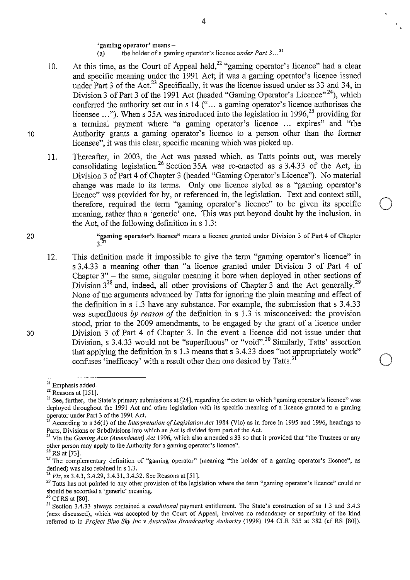**'gaming operator' means-**

- (a) the holder of a gaming operator's licence *under Part 3 ..* <sup>21</sup>
- 10. At this time, as the Court of Appeal held,<sup>22</sup> "gaming operator's licence" had a clear and specific meaning under the 1991 Act; it was a gaming operator's licence issued under Part 3 of the Act.<sup>23</sup> Specifically, it was the licence issued under ss 33 and 34, in Division 3 of Part 3 of the 1991 Act (headed "Gaming Operator's Licence"<sup>24</sup>), which conferred the authority set out in s  $14$  ("... a gaming operator's licence authorises the licensee  $\ldots$ "). When s 35A was introduced into the legislation in 1996,<sup>25</sup> providing for a terminal payment where "a gaming operator's licence ... expires" and "the Authority grants a gaming operator's licence to a person other than the former licensee", it was this clear, specific meaning which was picked up.
- II. Thereafter, in 2003, the Act was passed which, as Tatts points out, was merely consolidating legislation.<sup>26</sup> Section  $35A$  was re-enacted as s 3.4.33 of the Act, in Division 3 of Part 4 of Chapter 3 (headed "Gaming Operator's Licence"). No material change was made to its terms. Only one licence styled as a "gaming operator's licence" was provided for by, or referenced in, the legislation. Text and context still, therefore, required the term "gaming operator's licence" to be given its specific meaning, rather than a 'generic' one. This was put beyond doubt by the inclusion, in the Act, of the following definition in s 1.3:

20

30

10

**"gaming operator's licence" means a licence granted under Division 3 of Part 4 of Chapter**   $3^{27}$ 

 $\bigcirc$ 

 $\bigcirc$ 

12. This definition made it impossible to give the term "gaming operator's licence" in s 3.4.33 a meaning other than "a licence granted under Division 3 of Part 4 of Chapter  $3"$  – the same, singular meaning it bore when deployed in other sections of Division  $3^{28}$  and, indeed, all other provisions of Chapter 3 and the Act generally.<sup>29</sup> None of the arguments advanced by Tatts for ignoring the plain meaning and effect of the definition in s 1.3 have any substance. For example, the submission that s 3.4.33 was superfluous *by reason of* the definition in s 1.3 is misconceived: the provision stood, prior to the 2009 amendments, to be engaged by the grant of a licence under Division 3 of Part 4 of Chapter 3. In the event a licence did not issue under that Division, s 3.4.33 would not be "superfluous" or "void".<sup>30</sup> Similarly, Tatts' assertion that applying the definition ins 1.3 means that s 3.4.33 does "not appropriately work" confuses 'inefficacy' with a result other than one desired by Tatts.<sup>31</sup>

<sup>&</sup>lt;sup>21</sup> Emphasis added.<br><sup>22</sup> Reasons at [151].

<sup>&</sup>lt;sup>23</sup> See, further, the State's primary submissions at [24], regarding the extent to which "gaming operator's licence" was deployed throughout the 1991 Act and other legislation with its specific meaning of a licence granted to a gaming operator under Part 3 of the 1991 Act.

According to s 36(1) of the *Interpretation of Legislation Act* 1984 (Vic) as in force in 1995 and 1996, headings to **Parts, Divisions or Subdivisions into which an Act is divided form patt of the Act.** 

<sup>&</sup>lt;sup>25</sup> Via the *Gaming Acts (Amendment) Act* 1996, which also amended s 33 so that it provided that "the Trustees or any other person may apply to the Authority for a gaming operator's licence".<br><sup>26</sup> RS at [73].

<sup>&</sup>lt;sup>27</sup> The complementary definition of "gaming operator" (meaning "the holder of a gaming operator's licence", as defined) was also retained in s 1.3.<br><sup>28</sup> *Viz*, ss 3.4.3, 3.4.29, 3.4.31, 3.4.32. See Reasons at [51].

<sup>&</sup>lt;sup>29</sup> Tatts has not pointed to any other provision of the legislation where the term "gaming operator's licence" could or should be accorded a 'generic' meaning.<br><sup>30</sup> Cf RS at [80].

<sup>&</sup>lt;sup>31</sup> Section 3.4.33 always contained a *conditional* payment entitlement. The State's construction of ss 1.3 and 3.4.3 (next discussed), which was accepted by the Court of Appeal, involves no redundancy or superfluity of the kind referred to in *Project Blue Sky Inc v Australian Broadcasting Authority* (1998) 194 CLR 355 at 382 (cf RS [80]).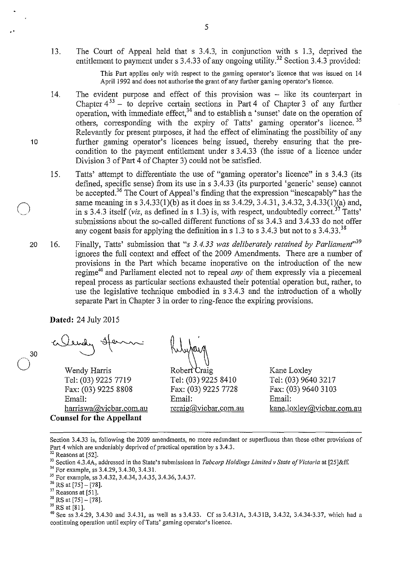13. The Court of Appeal held that s 3.4.3, in conjunction with s 1.3, deprived the entitlement to payment under s 3.4.33 of any ongoing utility.<sup>32</sup> Section 3.4.3 provided:

> This Part applies only with respect to the gaming operator's licence that was issued on 14 April 1992 and does not authorise the grant of any further gaming operator's licence.

- 14. The evident purpose and effect of this provision was - like its counterpart in Chapter  $4^{33}$  – to deprive certain sections in Part 4 of Chapter 3 of any further operation, with immediate effect,  $34$  and to establish a 'sunset' date on the operation of others, corresponding with the expiry of Tatts' gaming operator's licence.<sup>35</sup> Relevantly for present purposes, it had the effect of eliminating the possibility of any further gaming operator's licences being issued, thereby ensuring that the precondition to the payment entitlement under s 3.4.33 (the issue of a licence under Division 3 of Part 4 of Chapter 3) could not be satisfied.
- 15. Tatts' attempt to differentiate the use of "gaming operator's licence" in s 3.4.3 (its defined, specific sense) from its use in s 3.4.33 (its purported 'generic' sense) cannot be accepted.<sup>36</sup> The Court of Appeal's finding that the expression "inescapably" has the same meaning in s 3.4.33(1)(b) as it does in ss 3.4.29, 3.4.31, 3.4.32, 3.4.33(1)(a) and, in s 3.4.3 itself *(viz, as defined in s 1.3)* is, with respect, undoubtedly correct.<sup>37</sup> Tatts' submissions about the so-called different functions of ss 3 .4.3 and 3 .4.33 do not offer any cogent basis for applying the definition in s 1.3 to s 3.4.3 but not to s  $3.4.33^{38}$
- 20 16. Finally, Tatts' submission that *"s 3.4.33 was deliberately retained by Parliament"<sup>39</sup>* ignores the full context and effect of the 2009 Amendments. There are a number of provisions in the Part which became inoperative on the introduction of the new regime<sup>40</sup> and Parliament elected not to repeal *any* of them expressly via a piecemeal repeal process as particular sections exhausted their potential operation but, rather, to use the legislative technique embodied in s 3 .4.3 and the introduction of a wholly separate Part in Chapter 3 in order to ring-fence the expiring provisions.

**Dated:** 24 July 2015

..

10

 $\bigcirc$ 

30

 $\bigcirc$ 

Wendy Harris Tel: (03) 9225 7719 Fax: (03) 9225 8808 Email: harriswa@vicbar.com.au **Counsel for the Appellant** 

Robert Craig Tel: (03) 9225 8410 Fax: (03) 9225 7728 Email: rcraig@vicbar.com.au

Kane Loxley Tel: (03) 9640 3217 Fax: (03) 9640 3103 Email: kane.loxley@vicbar.com.au

**Section 3.4.33 is, following the 2009 amendments, no more redundant or superfluous than those other provisions of**  Part 4 which are undeniably deprived of practical operation by s 3.4.3.<br><sup>32</sup> Reasons at [52].<br><sup>33</sup> Section 4.3.4A, addressed in the State's submissions in *Tabcorp Holdings Limited v State of Victoria* at [25]&ff.<br><sup>34</sup> Fo

**continuing operation until expiry ofTatts' gaming operator's licence.**